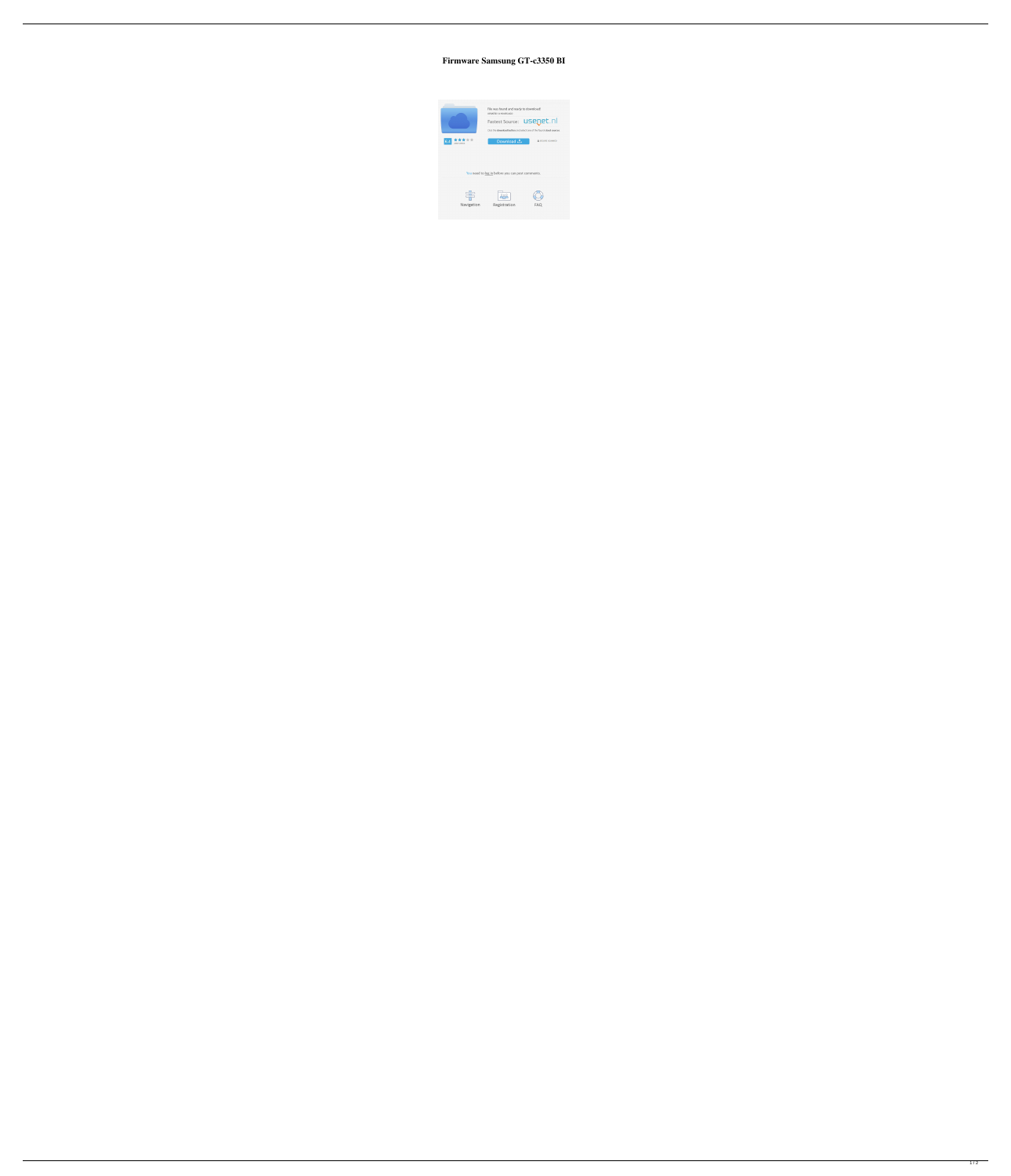## **Firmware Samsung GT-c3350 BI**